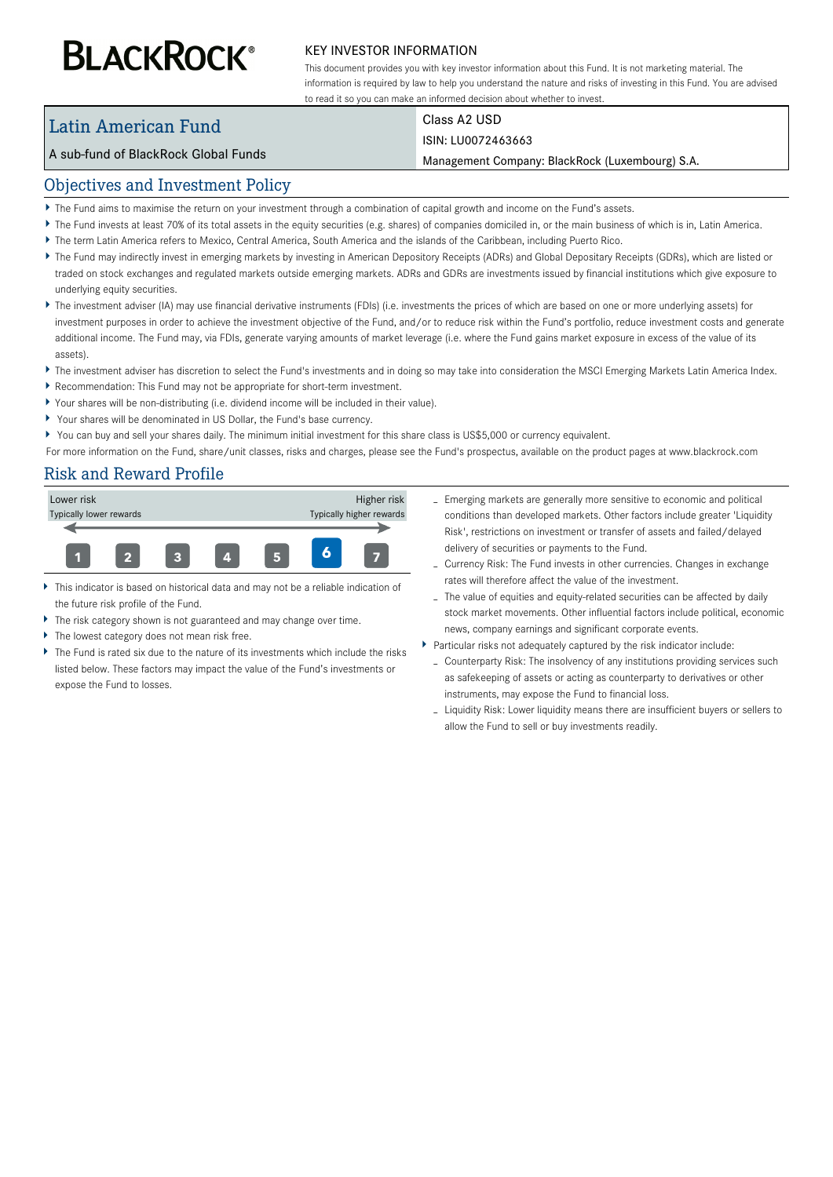# **BLACKROCK®**

#### KEY INVESTOR INFORMATION

This document provides you with key investor information about this Fund. It is not marketing material. The information is required by law to help you understand the nature and risks of investing in this Fund. You are advised to read it so you can make an informed decision about whether to invest.

# Latin American Fund

Class A2 USD

#### A sub-fund of BlackRock Global Funds

#### ISIN: LU0072463663

Management Company: BlackRock (Luxembourg) S.A.

#### Objectives and Investment Policy

- The Fund aims to maximise the return on your investment through a combination of capital growth and income on the Fund's assets.
- ▶ The Fund invests at least 70% of its total assets in the equity securities (e.g. shares) of companies domiciled in, or the main business of which is in, Latin America.
- The term Latin America refers to Mexico, Central America, South America and the islands of the Caribbean, including Puerto Rico.
- ▶ The Fund may indirectly invest in emerging markets by investing in American Depository Receipts (ADRs) and Global Depositary Receipts (GDRs), which are listed or traded on stock exchanges and regulated markets outside emerging markets. ADRs and GDRs are investments issued by financial institutions which give exposure to underlying equity securities.
- ▶ The investment adviser (IA) may use financial derivative instruments (FDIs) (i.e. investments the prices of which are based on one or more underlying assets) for investment purposes in order to achieve the investment objective of the Fund, and/or to reduce risk within the Fund's portfolio, reduce investment costs and generate additional income. The Fund may, via FDIs, generate varying amounts of market leverage (i.e. where the Fund gains market exposure in excess of the value of its assets).
- ▶ The investment adviser has discretion to select the Fund's investments and in doing so may take into consideration the MSCI Emerging Markets Latin America Index.
- $\blacktriangleright$ Recommendation: This Fund may not be appropriate for short-term investment.
- Your shares will be non-distributing (i.e. dividend income will be included in their value).
- Your shares will be denominated in US Dollar, the Fund's base currency.
- You can buy and sell your shares daily. The minimum initial investment for this share class is US\$5,000 or currency equivalent.

For more information on the Fund, share/unit classes, risks and charges, please see the Fund's prospectus, available on the product pages at www.blackrock.com

# Risk and Reward Profile



- This indicator is based on historical data and may not be a reliable indication of the future risk profile of the Fund.
- The risk category shown is not guaranteed and may change over time.
- The lowest category does not mean risk free.
- The Fund is rated six due to the nature of its investments which include the risks listed below. These factors may impact the value of the Fund's investments or expose the Fund to losses.
- Emerging markets are generally more sensitive to economic and political conditions than developed markets. Other factors include greater 'Liquidity Risk', restrictions on investment or transfer of assets and failed/delayed delivery of securities or payments to the Fund.
- Currency Risk: The Fund invests in other currencies. Changes in exchange rates will therefore affect the value of the investment.
- The value of equities and equity-related securities can be affected by daily stock market movements. Other influential factors include political, economic news, company earnings and significant corporate events.
- Particular risks not adequately captured by the risk indicator include:
	- Counterparty Risk: The insolvency of any institutions providing services such as safekeeping of assets or acting as counterparty to derivatives or other instruments, may expose the Fund to financial loss.
	- Liquidity Risk: Lower liquidity means there are insufficient buyers or sellers to allow the Fund to sell or buy investments readily.